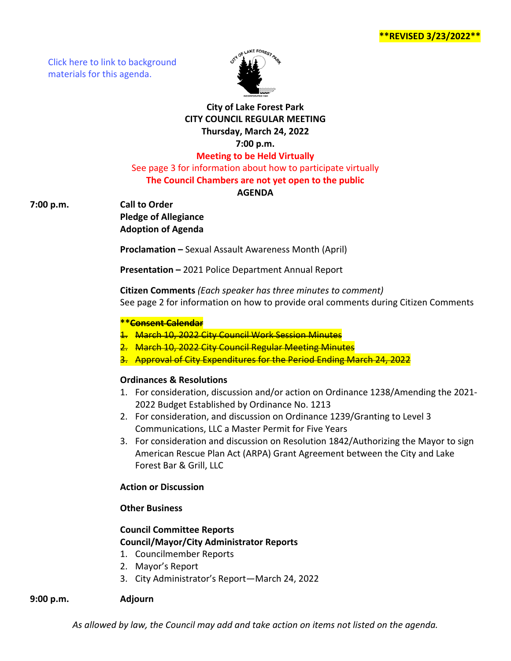[Click here to link to background](https://media.avcaptureall.cloud/meeting/57f43cd1-0eb9-4b52-9d5a-449ffe379d54) materials for this agenda.



## **City of Lake Forest Park CITY COUNCIL REGULAR MEETING Thursday, March 24, 2022 7:00 p.m. Meeting to be Held Virtually**

See page 3 for information about how to participate virtually **The Council Chambers are not yet open to the public**

## **AGENDA**

**7:00 p.m. Call to Order**

**Pledge of Allegiance Adoption of Agenda**

**Proclamation –** Sexual Assault Awareness Month (April)

**Presentation –** 2021 Police Department Annual Report

**Citizen Comments** *(Each speaker has three minutes to comment)* See page 2 for information on how to provide oral comments during Citizen Comments

### **\*\*Consent Calendar**

1. March 10, 2022 City Council Work Session Minutes

- 2. March 10, 2022 City Council Regular Meeting Minutes
- 3. Approval of City Expenditures for the Period Ending March 24,

### **Ordinances & Resolutions**

- 1. For consideration, discussion and/or action on Ordinance 1238/Amending the 2021- 2022 Budget Established by Ordinance No. 1213
- 2. For consideration, and discussion on Ordinance 1239/Granting to Level 3 Communications, LLC a Master Permit for Five Years
- 3. For consideration and discussion on Resolution 1842/Authorizing the Mayor to sign American Rescue Plan Act (ARPA) Grant Agreement between the City and Lake Forest Bar & Grill, LLC

## **Action or Discussion**

### **Other Business**

# **Council Committee Reports Council/Mayor/City Administrator Reports**

- 1. Councilmember Reports
- 2. Mayor's Report
- 3. City Administrator's Report—March 24, 2022

### **9:00 p.m. Adjourn**

*As allowed by law, the Council may add and take action on items not listed on the agenda.*